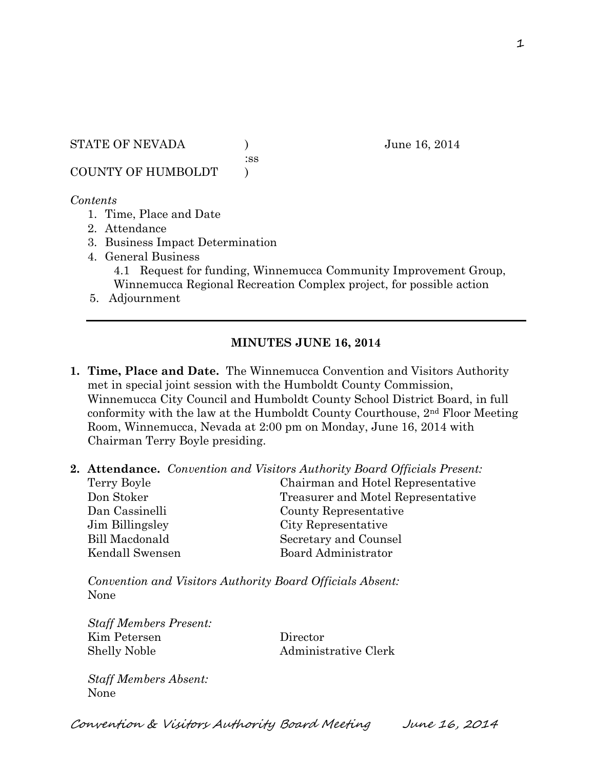STATE OF NEVADA ) June 16, 2014

:ss

COUNTY OF HUMBOLDT )

#### *Contents*

- 1. Time, Place and Date
- 2. Attendance
- 3. Business Impact Determination
- 4. General Business 4.1 Request for funding, Winnemucca Community Improvement Group, Winnemucca Regional Recreation Complex project, for possible action
- 5. Adjournment

# **MINUTES JUNE 16, 2014**

- **1. Time, Place and Date.** The Winnemucca Convention and Visitors Authority met in special joint session with the Humboldt County Commission, Winnemucca City Council and Humboldt County School District Board, in full conformity with the law at the Humboldt County Courthouse, 2nd Floor Meeting Room, Winnemucca, Nevada at 2:00 pm on Monday, June 16, 2014 with Chairman Terry Boyle presiding.
- **2. Attendance.** *Convention and Visitors Authority Board Officials Present:*

| Terry Boyle           | Chairman and Hotel Representative  |
|-----------------------|------------------------------------|
| Don Stoker            | Treasurer and Motel Representative |
| Dan Cassinelli        | County Representative              |
| Jim Billingsley       | City Representative                |
| <b>Bill Macdonald</b> | Secretary and Counsel              |
| Kendall Swensen       | Board Administrator                |

*Convention and Visitors Authority Board Officials Absent:* None

*Staff Members Present:* Kim Petersen Director Shelly Noble **Administrative Clerk** 

*Staff Members Absent:* None

Convention & Visitors Authority Board Meeting June 16, 2014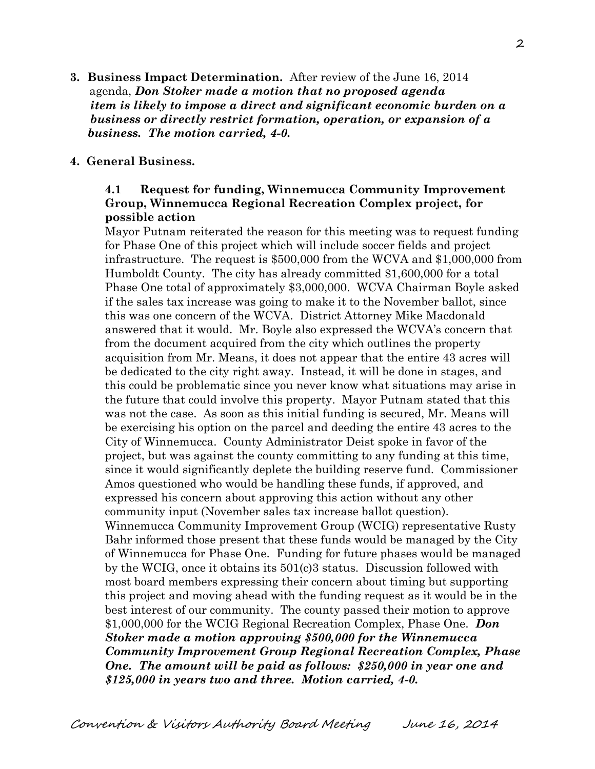**3. Business Impact Determination.** After review of the June 16, 2014 agenda, *Don Stoker made a motion that no proposed agenda item is likely to impose a direct and significant economic burden on a business or directly restrict formation, operation, or expansion of a business. The motion carried, 4-0.*

#### **4. General Business.**

## **4.1 Request for funding, Winnemucca Community Improvement Group, Winnemucca Regional Recreation Complex project, for possible action**

Mayor Putnam reiterated the reason for this meeting was to request funding for Phase One of this project which will include soccer fields and project infrastructure. The request is \$500,000 from the WCVA and \$1,000,000 from Humboldt County. The city has already committed \$1,600,000 for a total Phase One total of approximately \$3,000,000. WCVA Chairman Boyle asked if the sales tax increase was going to make it to the November ballot, since this was one concern of the WCVA. District Attorney Mike Macdonald answered that it would. Mr. Boyle also expressed the WCVA's concern that from the document acquired from the city which outlines the property acquisition from Mr. Means, it does not appear that the entire 43 acres will be dedicated to the city right away. Instead, it will be done in stages, and this could be problematic since you never know what situations may arise in the future that could involve this property. Mayor Putnam stated that this was not the case. As soon as this initial funding is secured, Mr. Means will be exercising his option on the parcel and deeding the entire 43 acres to the City of Winnemucca. County Administrator Deist spoke in favor of the project, but was against the county committing to any funding at this time, since it would significantly deplete the building reserve fund. Commissioner Amos questioned who would be handling these funds, if approved, and expressed his concern about approving this action without any other community input (November sales tax increase ballot question). Winnemucca Community Improvement Group (WCIG) representative Rusty Bahr informed those present that these funds would be managed by the City of Winnemucca for Phase One. Funding for future phases would be managed by the WCIG, once it obtains its 501(c)3 status. Discussion followed with most board members expressing their concern about timing but supporting this project and moving ahead with the funding request as it would be in the best interest of our community. The county passed their motion to approve \$1,000,000 for the WCIG Regional Recreation Complex, Phase One. *Don Stoker made a motion approving \$500,000 for the Winnemucca Community Improvement Group Regional Recreation Complex, Phase One. The amount will be paid as follows: \$250,000 in year one and \$125,000 in years two and three. Motion carried, 4-0.*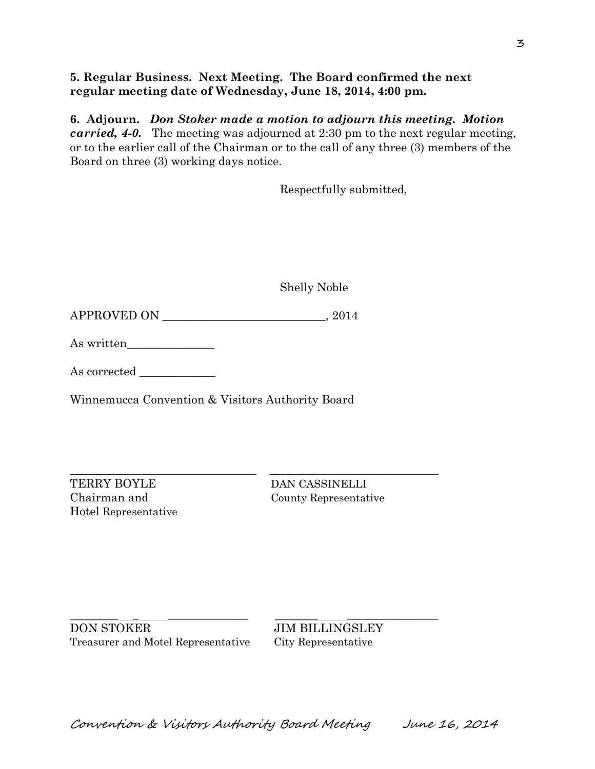### **5. Regular Business. Next Meeting. The Board confirmed the next regular meeting date of Wednesday, June 18, 2014, 4:00 pm.**

**6. Adjourn.** *Don Stoker made a motion to adjourn this meeting. Motion carried, 4-0.* The meeting was adjourned at 2:30 pm to the next regular meeting, or to the earlier call of the Chairman or to the call of any three (3) members of the Board on three (3) working days notice.

Respectfully submitted,

Shelly Noble

 $APPROVED ON$   $\qquad \qquad .2014$ 

As written\_\_\_\_\_\_\_\_\_\_\_\_\_\_\_

As corrected \_\_\_\_\_\_\_\_\_\_\_\_\_

Winnemucca Convention & Visitors Authority Board

 $\_$  , and the set of the set of the set of the set of the set of the set of the set of the set of the set of the set of the set of the set of the set of the set of the set of the set of the set of the set of the set of th

TERRY BOYLE DAN CASSINELLI Hotel Representative

Chairman and County Representative

 $\_$  , and the set of the set of the set of the set of the set of the set of the set of the set of the set of the set of the set of the set of the set of the set of the set of the set of the set of the set of the set of th DON STOKER JIM BILLINGSLEY Treasurer and Motel Representative City Representative